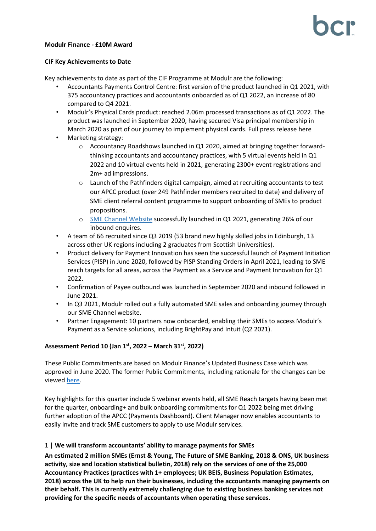## **Modulr Finance - £10M Award**

## **CIF Key Achievements to Date**

Key achievements to date as part of the CIF Programme at Modulr are the following:

- Accountants Payments Control Centre: first version of the product launched in Q1 2021, with 375 accountancy practices and accountants onboarded as of Q1 2022, an increase of 80 compared to Q4 2021.
- Modulr's Physical Cards product: reached 2.06m processed transactions as of Q1 2022. The product was launched in September 2020, having secured Visa principal membership in March 2020 as part of our journey to implement physical cards. Full press releas[e here](https://www.modulrfinance.com/blog/payments-fintech-modulr-becomes-a-principal-issuing-member-of-visa)
- Marketing strategy:
	- o Accountancy Roadshows launched in Q1 2020, aimed at bringing together forwardthinking accountants and accountancy practices, with 5 virtual events held in Q1 2022 and 10 virtual events held in 2021, generating 2300+ event registrations and 2m+ ad impressions.
	- $\circ$  Launch of the Pathfinders digital campaign, aimed at recruiting accountants to test our APCC product (over 249 Pathfinder members recruited to date) and delivery of SME client referral content programme to support onboarding of SMEs to product propositions.
	- o [SME Channel Website](https://www.modulrfinance.com/small-business) successfully launched in Q1 2021, generating 26% of our inbound enquires.
- A team of 66 recruited since Q3 2019 (53 brand new highly skilled jobs in Edinburgh, 13 across other UK regions including 2 graduates from Scottish Universities).
- Product delivery for Payment Innovation has seen the successful launch of Payment Initiation Services (PISP) in June 2020, followed by PISP Standing Orders in April 2021, leading to SME reach targets for all areas, across the Payment as a Service and Payment Innovation for Q1 2022.
- Confirmation of Payee outbound was launched in September 2020 and inbound followed in June 2021.
- In Q3 2021, Modulr rolled out a fully automated SME sales and onboarding journey through our SME Channel website.
- Partner Engagement: 10 partners now onboarded, enabling their SMEs to access Modulr's Payment as a Service solutions, including BrightPay and Intuit (Q2 2021).

# **Assessment Period 10 (Jan 1 st, 2022 – March 31 st, 2022)**

These Public Commitments are based on Modulr Finance's Updated Business Case which was approved in June 2020. The former Public Commitments, including rationale for the changes can be viewe[d here.](https://bcr-ltd.com/wp-content/uploads/2020/08/Modulr-Finance_Public-Commitments-Q220-v1.0.pdf)

Key highlights for this quarter include 5 webinar events held, all SME Reach targets having been met for the quarter, onboarding+ and bulk onboarding commitments for Q1 2022 being met driving further adoption of the APCC (Payments Dashboard). Client Manager now enables accountants to easily invite and track SME customers to apply to use Modulr services.

# **1 | We will transform accountants' ability to manage payments for SMEs**

**An estimated 2 million SMEs (Ernst & Young, The Future of SME Banking, 2018 & ONS, UK business activity, size and location statistical bulletin, 2018) rely on the services of one of the 25,000 Accountancy Practices (practices with 1+ employees; UK BEIS, Business Population Estimates, 2018) across the UK to help run their businesses, including the accountants managing payments on their behalf. This is currently extremely challenging due to existing business banking services not providing for the specific needs of accountants when operating these services.**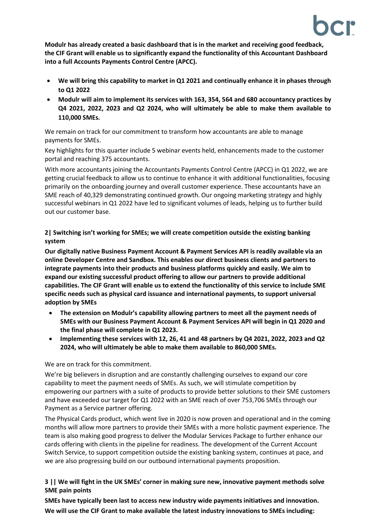**Modulr has already created a basic dashboard that is in the market and receiving good feedback, the CIF Grant will enable us to significantly expand the functionality of this Accountant Dashboard into a full Accounts Payments Control Centre (APCC).**

- **We will bring this capability to market in Q1 2021 and continually enhance it in phases through to Q1 2022**
- **Modulr will aim to implement its services with 163, 354, 564 and 680 accountancy practices by Q4 2021, 2022, 2023 and Q2 2024, who will ultimately be able to make them available to 110,000 SMEs.**

We remain on track for our commitment to transform how accountants are able to manage payments for SMEs.

Key highlights for this quarter include 5 webinar events held, enhancements made to the customer portal and reaching 375 accountants.

With more accountants joining the Accountants Payments Control Centre (APCC) in Q1 2022, we are getting crucial feedback to allow us to continue to enhance it with additional functionalities, focusing primarily on the onboarding journey and overall customer experience. These accountants have an SME reach of 40,329 demonstrating continued growth. Our ongoing marketing strategy and highly successful webinars in Q1 2022 have led to significant volumes of leads, helping us to further build out our customer base.

**2| Switching isn't working for SMEs; we will create competition outside the existing banking system**

**Our digitally native Business Payment Account & Payment Services API is readily available via an online Developer Centre and Sandbox. This enables our direct business clients and partners to integrate payments into their products and business platforms quickly and easily. We aim to expand our existing successful product offering to allow our partners to provide additional capabilities. The CIF Grant will enable us to extend the functionality of this service to include SME specific needs such as physical card issuance and international payments, to support universal adoption by SMEs**

- **The extension on Modulr's capability allowing partners to meet all the payment needs of SMEs with our Business Payment Account & Payment Services API will begin in Q1 2020 and the final phase will complete in Q1 2023.**
- **Implementing these services with 12, 26, 41 and 48 partners by Q4 2021, 2022, 2023 and Q2 2024, who will ultimately be able to make them available to 860,000 SMEs.**

We are on track for this commitment.

We're big believers in disruption and are constantly challenging ourselves to expand our core capability to meet the payment needs of SMEs. As such, we will stimulate competition by empowering our partners with a suite of products to provide better solutions to their SME customers and have exceeded our target for Q1 2022 with an SME reach of over 753,706 SMEs through our Payment as a Service partner offering.

The Physical Cards product, which went live in 2020 is now proven and operational and in the coming months will allow more partners to provide their SMEs with a more holistic payment experience. The team is also making good progress to deliver the Modular Services Package to further enhance our cards offering with clients in the pipeline for readiness. The development of the Current Account Switch Service, to support competition outside the existing banking system, continues at pace, and we are also progressing build on our outbound international payments proposition.

# **3 || We will fight in the UK SMEs' corner in making sure new, innovative payment methods solve SME pain points**

**SMEs have typically been last to access new industry wide payments initiatives and innovation. We will use the CIF Grant to make available the latest industry innovations to SMEs including:**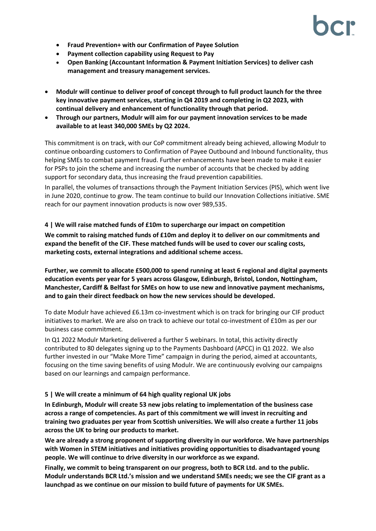- **Fraud Prevention+ with our Confirmation of Payee Solution**
- **Payment collection capability using Request to Pay**
- **Open Banking (Accountant Information & Payment Initiation Services) to deliver cash management and treasury management services.**
- **Modulr will continue to deliver proof of concept through to full product launch for the three key innovative payment services, starting in Q4 2019 and completing in Q2 2023, with continual delivery and enhancement of functionality through that period.**
- **Through our partners, Modulr will aim for our payment innovation services to be made available to at least 340,000 SMEs by Q2 2024.**

This commitment is on track, with our CoP commitment already being achieved, allowing Modulr to continue onboarding customers to Confirmation of Payee Outbound and Inbound functionality, thus helping SMEs to combat payment fraud. Further enhancements have been made to make it easier for PSPs to join the scheme and increasing the number of accounts that be checked by adding support for secondary data, thus increasing the fraud prevention capabilities.

In parallel, the volumes of transactions through the Payment Initiation Services (PIS), which went live in June 2020, continue to grow. The team continue to build our Innovation Collections initiative. SME reach for our payment innovation products is now over 989,535.

# **4 | We will raise matched funds of £10m to supercharge our impact on competition**

**We commit to raising matched funds of £10m and deploy it to deliver on our commitments and expand the benefit of the CIF. These matched funds will be used to cover our scaling costs, marketing costs, external integrations and additional scheme access.**

**Further, we commit to allocate £500,000 to spend running at least 6 regional and digital payments education events per year for 5 years across Glasgow, Edinburgh, Bristol, London, Nottingham, Manchester, Cardiff & Belfast for SMEs on how to use new and innovative payment mechanisms, and to gain their direct feedback on how the new services should be developed.** 

To date Modulr have achieved £6.13m co-investment which is on track for bringing our CIF product initiatives to market. We are also on track to achieve our total co-investment of £10m as per our business case commitment.

In Q1 2022 Modulr Marketing delivered a further 5 webinars. In total, this activity directly contributed to 80 delegates signing up to the Payments Dashboard (APCC) in Q1 2022. We also further invested in our "Make More Time" campaign in during the period, aimed at accountants, focusing on the time saving benefits of using Modulr. We are continuously evolving our campaigns based on our learnings and campaign performance.

## **5 | We will create a minimum of 64 high quality regional UK jobs**

**In Edinburgh, Modulr will create 53 new jobs relating to implementation of the business case across a range of competencies. As part of this commitment we will invest in recruiting and training two graduates per year from Scottish universities. We will also create a further 11 jobs across the UK to bring our products to market.**

**We are already a strong proponent of supporting diversity in our workforce. We have partnerships with Women in STEM initiatives and initiatives providing opportunities to disadvantaged young people. We will continue to drive diversity in our workforce as we expand.**

**Finally, we commit to being transparent on our progress, both to BCR Ltd. and to the public. Modulr understands BCR Ltd.'s mission and we understand SMEs needs; we see the CIF grant as a launchpad as we continue on our mission to build future of payments for UK SMEs.**